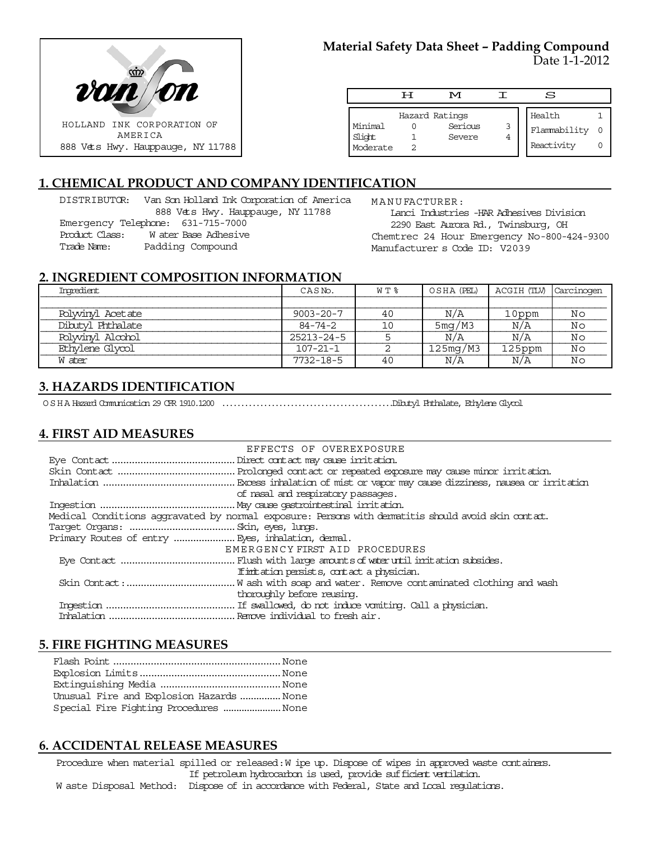

# **Material Safety Data Sheet – Padding Compound** Date 1-1-2012

|                               | ਸ | M                                   |   | s                                    |  |
|-------------------------------|---|-------------------------------------|---|--------------------------------------|--|
| Minimal<br>Slight<br>Moderate |   | Hazard Ratings<br>Serious<br>Severe | 3 | Health<br>Flammability<br>Reactivity |  |

# **1. CHEMICAL PRODUCT AND COMPANY IDENTIFICATION**

DISTRIBUTOR: Van Son Holland Ink Corporation of America 888 Vets Hwy. Hauppauge, NY 11788 Emergency Telephone: 631-715-7000 Product Class: W ater Base Adhesive Trade Name: Padding Compound

MANUFACTURER:

Lanci Industries -HAR Adhesives Division 2290 East Aurora Rd., Twinsburg, OH Chemtrec 24 Hour Emergency No-800-424-9300 Manufacturer s Code ID: V2039

## **2. INGREDIENT COMPOSITION INFORMATION**

| Imredient         | CASN <sub>o</sub> . | W T % | OSHA (PEL) | ACGIH (TLV) Carcinogen |    |
|-------------------|---------------------|-------|------------|------------------------|----|
|                   |                     |       |            |                        |    |
| Polyvinyl Acetate | $9003 - 20 - 7$     | 40    | N/A        | 10ppm                  | Νo |
| Dibutyl Phthalate | 84-74-2             | 10    | 5mg/M3     | N/A                    | Νo |
| Polyvinyl Alcohol | $25213 - 24 - 5$    |       | N/A        | N/A                    | Νo |
| Ethylene Glycol   | $107 - 21 - 1$      |       | 125mg/M3   | 125ppm                 | Νo |
| W ater            | $7732 - 18 - 5$     | 40    | N/A        | N/A                    | Νo |

# **3. HAZARDS IDENTIFICATION**

OSHA Hazard Communication 29 CFR 1910.1200 .............................................Dibutyl Phthalate, Ethylene Glycol

### **4. FIRST AID MEASURES**

| EFFECTS OF OVEREXPOSURE                                                                            |
|----------------------------------------------------------------------------------------------------|
|                                                                                                    |
|                                                                                                    |
|                                                                                                    |
| of nasal and respiratory passages.                                                                 |
|                                                                                                    |
| Medical Conditions aggravated by normal exposure: Persons with dematitis should avoid skin contat. |
|                                                                                                    |
|                                                                                                    |
| EMERGENCY FIRST AID PROCEDURES                                                                     |
|                                                                                                    |
| If initiation persists, contact a physician.                                                       |
|                                                                                                    |
| thoroughly before reusing.                                                                         |
|                                                                                                    |
|                                                                                                    |

### **5. FIRE FIGHTING MEASURES**

| Unusual Fire and Explosion Hazards  None |  |
|------------------------------------------|--|
| Special Fire Fighting Procedures None    |  |

### **6. ACCIDENTAL RELEASE MEASURES**

Procedure when material spilled or released: W ipe up. Dispose of wipes in approved waste containers. If petroleum hydrocarbon is used, provide sufficient ventilation. W aste Disposal Method: Dispose of in accordance with Federal, State and Local regulations.